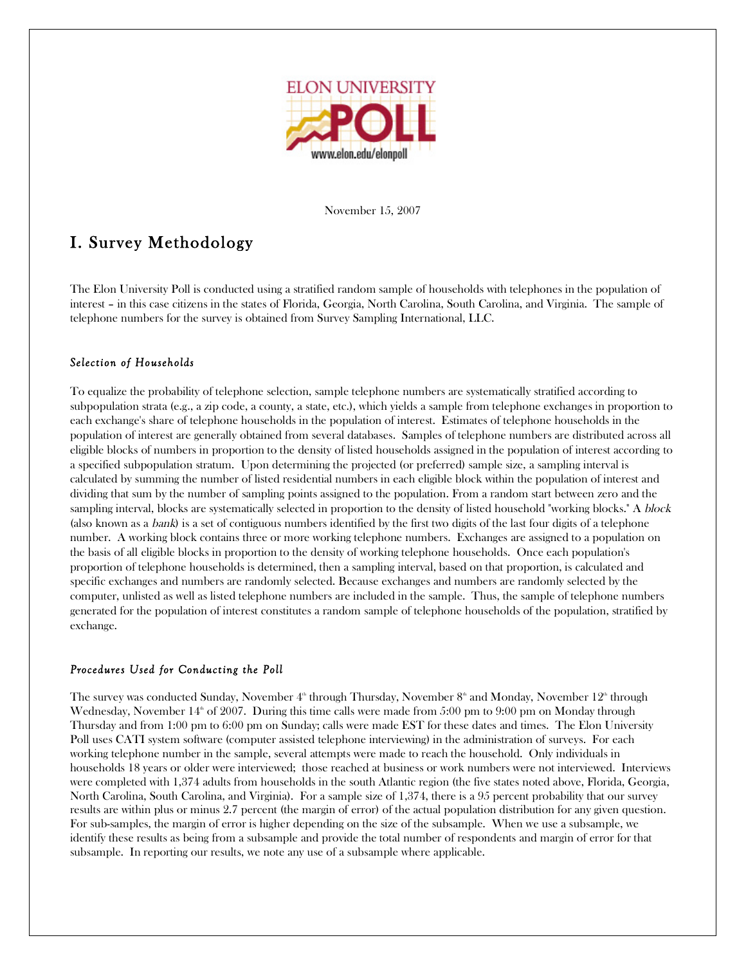

November 15, <sup>2007</sup>

# I. Survey Methodology

The Elon University Poll is conducted using a stratified random sample of households with telephones in the population of interest – in this case citizens in the states of Florida, Georgia, North Carolina, South Carolina, and Virginia. The sample of telephone numbers for the survey is obtained from Survey Sampling International, LLC.

## *Selection of Households*

To equalize the probability of telephone selection, sample telephone numbers are systematically stratified according to subpopulation strata (e.g., a zip code, a county, a state, etc.), which yields a sample from telephone exchanges in proportion to each exchange's share of telephone households in the population of interest. Estimates of telephone households in the population of interest are generally obtained from several databases. Samples of telephone numbers are distributed across all eligible blocks of numbers in proportion to the density of listed households assigned in the population of interest according to a specified subpopulation stratum. Upon determining the projected (or preferred) sample size, a sampling interval is calculated by summing the number of listed residential numbers in each eligible block within the population of interest and dividing that sum by the number of sampling points assigned to the population. From a random start between zero and the sampling interval, blocks are systematically selected in proportion to the density of listed household "working blocks." A block (also known as a bank) is a set of contiguous numbers identified by the first two digits of the last four digits of a telephone number. A working block contains three or more working telephone numbers. Exchanges are assigned to a population on the basis of all eligible blocks in proportion to the density of working telephone households. Once each population's proportion of telephone households is determined, then a sampling interval, based on that proportion, is calculated and specific exchanges and numbers are randomly selected. Because exchanges and numbers are randomly selected by the computer, unlisted as well as listed telephone numbers are included in the sample. Thus, the sample of telephone numbers generated for the population of interest constitutes a random sample of telephone households of the population, stratified by exchange.

### *Procedures Used for Conducting the Poll*

The survey was conducted Sunday, November  $4^\text{\tiny th}$  through Thursday, November  $8^\text{\tiny th}$  and Monday, November  $12^\text{\tiny th}$  through Wednesday, November 14 $^\mathrm{\tiny th}$  of 2007. During this time calls were made from 5:00 pm to 9:00 pm on Monday through Thursday and from 1:00 pm to 6:00 pm on Sunday; calls were made EST for these dates and times. The Elon University Poll uses CATI system software (computer assisted telephone interviewing) in the administration of surveys. For each working telephone number in the sample, several attempts were made to reach the household. Only individuals in households 18 years or older were interviewed; those reached at business or work numbers were not interviewed. Interviews were completed with 1,374 adults from households in the south Atlantic region (the five states noted above, Florida, Georgia, North Carolina, South Carolina, and Virginia). For a sample size of 1,374, there is a 95 percent probability that our survey results are within plus or minus 2.7 percent (the margin of error) of the actual population distribution for any given question. For sub-samples, the margin of error is higher depending on the size of the subsample. When we use a subsample, we identify these results as being from a subsample and provide the total number of respondents and margin of error for that subsample. In reporting our results, we note any use of a subsample where applicable.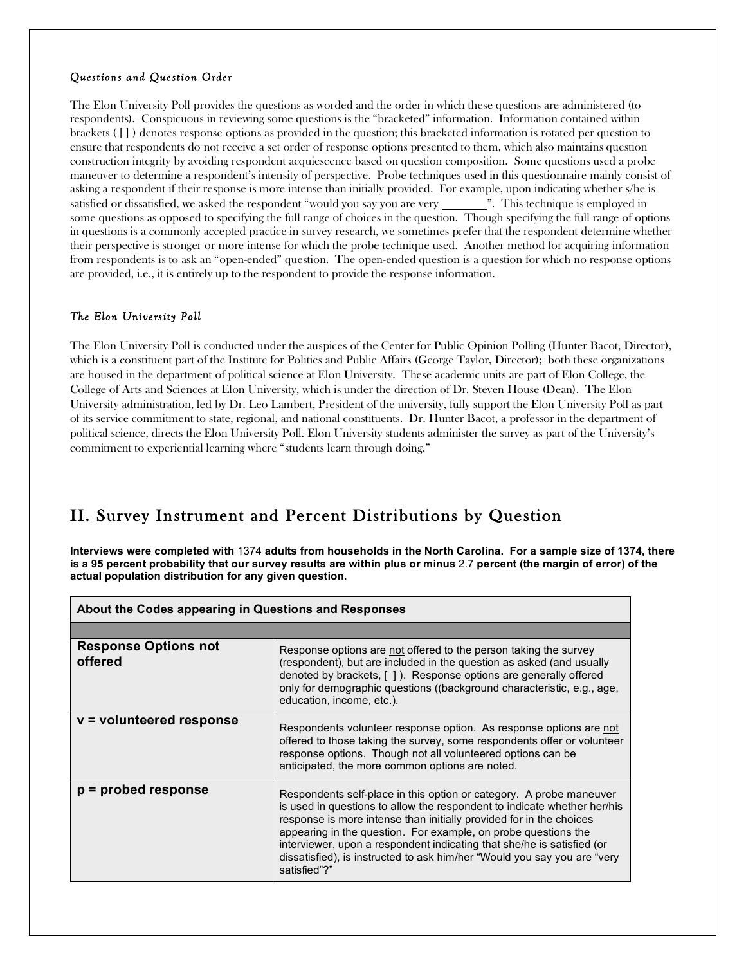### *Questions and Question Order*

The Elon University Poll provides the questions as worded and the order in which these questions are administered (to respondents). Conspicuous in reviewing some questions is the "bracketed" information. Information contained within brackets ( [ ] ) denotes response options as provided in the question; this bracketed information is rotated per question to ensure that respondents do not receive a set order of response options presented to them, which also maintains question construction integrity by avoiding respondent acquiescence based on question composition. Some questions used a probe maneuver to determine a respondent's intensity of perspective. Probe techniques used in this questionnaire mainly consist of asking a respondent if their response is more intense than initially provided. For example, upon indicating whether s/he is satisfied or dissatisfied, we asked the respondent "would you say you are very ". This technique is employed in some questions as opposed to specifying the full range of choices in the question. Though specifying the full range of options in questions is a commonly accepted practice in survey research, we sometimes prefer that the respondent determine whether their perspective is stronger or more intense for which the probe technique used. Another method for acquiring information from respondents is to ask an "open-ended" question. The open-ended question is a question for which no response options are provided, i.e., it is entirely up to the respondent to provide the response information.

## *The Elon University Poll*

The Elon University Poll is conducted under the auspices of the Center for Public Opinion Polling (Hunter Bacot, Director), which is a constituent part of the Institute for Politics and Public Affairs (George Taylor, Director); both these organizations are housed in the department of political science at Elon University. These academic units are part of Elon College, the College of Arts and Sciences at Elon University, which is under the direction of Dr. Steven House (Dean). The Elon University administration, led by Dr. Leo Lambert, President of the university, fully support the Elon University Poll as part of its service commitment to state, regional, and national constituents. Dr. Hunter Bacot, a professor in the department of political science, directs the Elon University Poll. Elon University students administer the survey as part of the University's commitment to experiential learning where "students learn through doing."

# II. Survey Instrument and Percent Distributions by Question

Interviews were completed with 1374 adults from households in the North Carolina. For a sample size of 1374, there is a 95 percent probability that our survey results are within plus or minus 2.7 percent (the margin of error) of the **actual population distribution for any given question.**

| About the Codes appearing in Questions and Responses |                                                                                                                                                                                                                                                                                                                                                                                                                                                                |  |  |  |
|------------------------------------------------------|----------------------------------------------------------------------------------------------------------------------------------------------------------------------------------------------------------------------------------------------------------------------------------------------------------------------------------------------------------------------------------------------------------------------------------------------------------------|--|--|--|
|                                                      |                                                                                                                                                                                                                                                                                                                                                                                                                                                                |  |  |  |
| <b>Response Options not</b><br>offered               | Response options are not offered to the person taking the survey<br>(respondent), but are included in the question as asked (and usually<br>denoted by brackets, [1]. Response options are generally offered<br>only for demographic questions ((background characteristic, e.g., age,<br>education, income, etc.).                                                                                                                                            |  |  |  |
| v = volunteered response                             | Respondents volunteer response option. As response options are not<br>offered to those taking the survey, some respondents offer or volunteer<br>response options. Though not all volunteered options can be<br>anticipated, the more common options are noted.                                                                                                                                                                                                |  |  |  |
| $p =$ probed response                                | Respondents self-place in this option or category. A probe maneuver<br>is used in questions to allow the respondent to indicate whether her/his<br>response is more intense than initially provided for in the choices<br>appearing in the question. For example, on probe questions the<br>interviewer, upon a respondent indicating that she/he is satisfied (or<br>dissatisfied), is instructed to ask him/her "Would you say you are "very<br>satisfied"?" |  |  |  |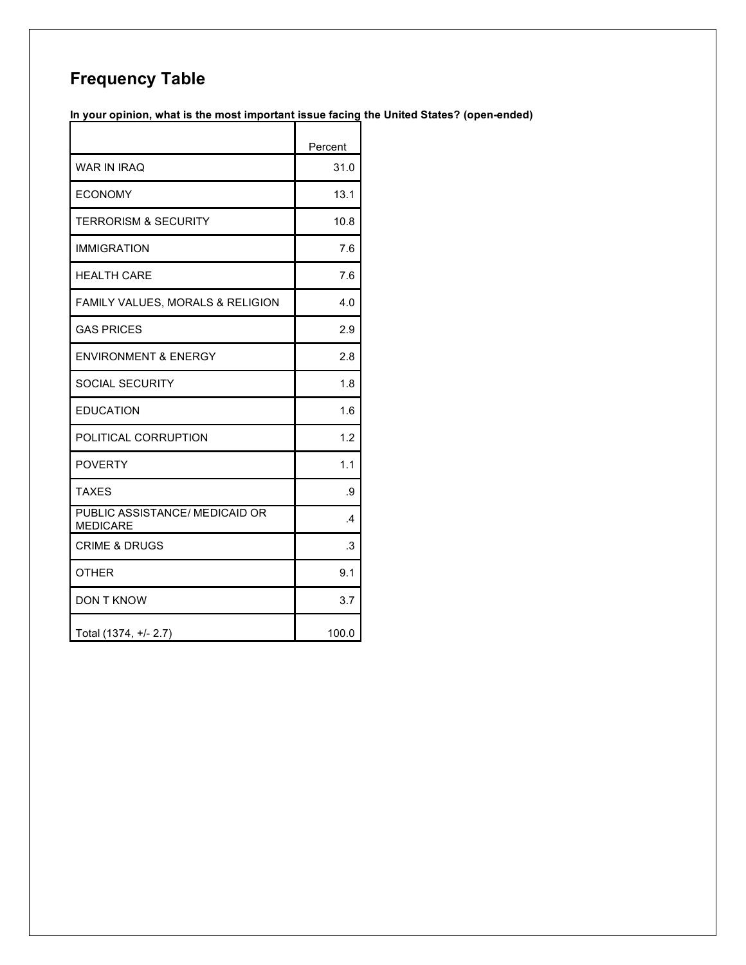# **Frequency Table**

**In your opinion, what is the most important issue facing the United States? (open-ended)**

|                                                   | Percent       |
|---------------------------------------------------|---------------|
| <b>WAR IN IRAO</b>                                | 31.0          |
| <b>ECONOMY</b>                                    | 13.1          |
| <b>TERRORISM &amp; SECURITY</b>                   | 10.8          |
| <b>IMMIGRATION</b>                                | 7.6           |
| <b>HEALTH CARE</b>                                | 7.6           |
| <b>FAMILY VALUES, MORALS &amp; RELIGION</b>       | 4.0           |
| <b>GAS PRICES</b>                                 | 2.9           |
| <b>ENVIRONMENT &amp; ENERGY</b>                   | 2.8           |
| <b>SOCIAL SECURITY</b>                            | 1.8           |
| <b>EDUCATION</b>                                  | 1.6           |
| POLITICAL CORRUPTION                              | 1.2           |
| <b>POVERTY</b>                                    | 1.1           |
| <b>TAXES</b>                                      | .9            |
| PUBLIC ASSISTANCE/ MEDICAID OR<br><b>MEDICARE</b> | $\mathcal{A}$ |
| <b>CRIME &amp; DRUGS</b>                          | .3            |
| <b>OTHER</b>                                      | 9.1           |
| <b>DON T KNOW</b>                                 | 3.7           |
| Total (1374, +/- 2.7)                             | 100.0         |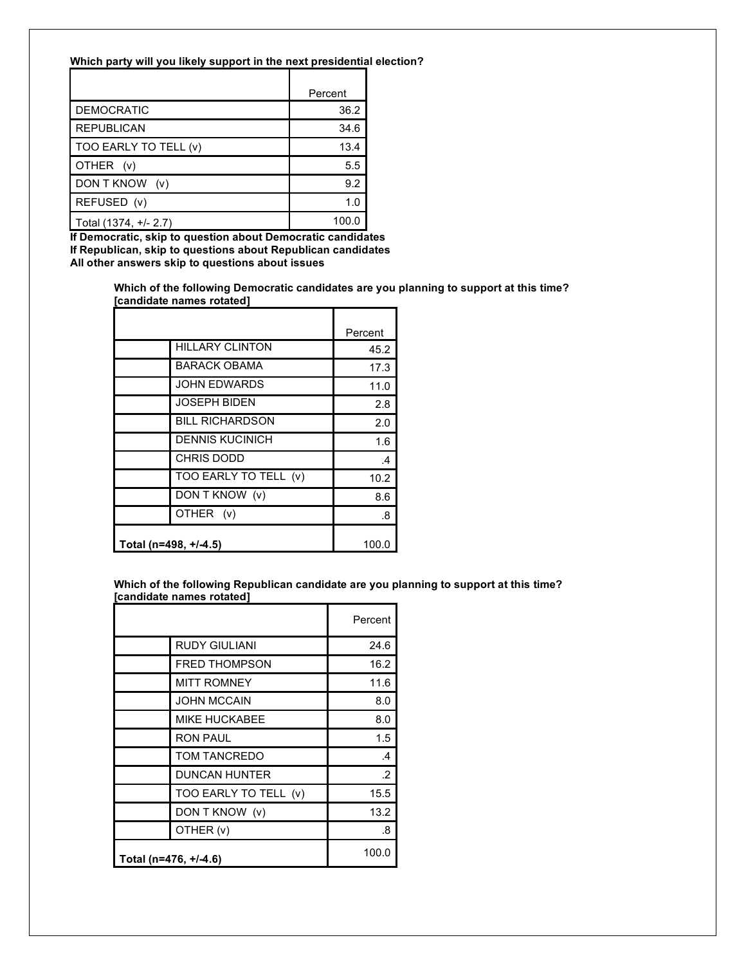#### **Which party will you likely support in the next presidential election?**

|                       | Percent |
|-----------------------|---------|
| <b>DEMOCRATIC</b>     | 36.2    |
| <b>REPUBLICAN</b>     | 34.6    |
| TOO EARLY TO TELL (v) | 13.4    |
| OTHER (v)             | 5.5     |
| DON T KNOW<br>(v)     | 9.2     |
| REFUSED (v)           | 1.0     |
| Total (1374, +/- 2.7) | 100.0   |

**If Democratic, skip to question about Democratic candidates If Republican, skip to questions about Republican candidates All other answers skip to questions about issues**

> **Which of the following Democratic candidates are you planning to support at this time? [candidate names rotated]**

|                       |                        | Percent       |
|-----------------------|------------------------|---------------|
|                       | <b>HILLARY CLINTON</b> | 45.2          |
|                       | <b>BARACK OBAMA</b>    | 17.3          |
|                       | <b>JOHN EDWARDS</b>    | 11.0          |
|                       | <b>JOSEPH BIDEN</b>    | 2.8           |
|                       | <b>BILL RICHARDSON</b> | 2.0           |
|                       | <b>DENNIS KUCINICH</b> | 1.6           |
|                       | <b>CHRIS DODD</b>      | $\mathcal{A}$ |
|                       | TOO EARLY TO TELL (v)  | 10.2          |
|                       | DON T KNOW (v)         | 8.6           |
|                       | OTHER (v)              | .8            |
| Total (n=498, +/-4.5) |                        | 100.0         |

**Which of the following Republican candidate are you planning to support at this time? [candidate names rotated]**

|                       |                       | Percent       |
|-----------------------|-----------------------|---------------|
|                       | <b>RUDY GIULIANI</b>  | 24.6          |
|                       | <b>FRED THOMPSON</b>  | 16.2          |
|                       | <b>MITT ROMNEY</b>    | 11.6          |
|                       | <b>JOHN MCCAIN</b>    | 8.0           |
|                       | <b>MIKE HUCKABEE</b>  | 8.0           |
|                       | <b>RON PAUL</b>       | 1.5           |
|                       | TOM TANCREDO          | $\mathcal{A}$ |
|                       | <b>DUNCAN HUNTER</b>  | $\cdot$       |
|                       | TOO EARLY TO TELL (v) | 15.5          |
|                       | DON T KNOW (v)        | 13.2          |
|                       | OTHER (v)             | .8            |
| Total (n=476, +/-4.6) |                       | 100.0         |